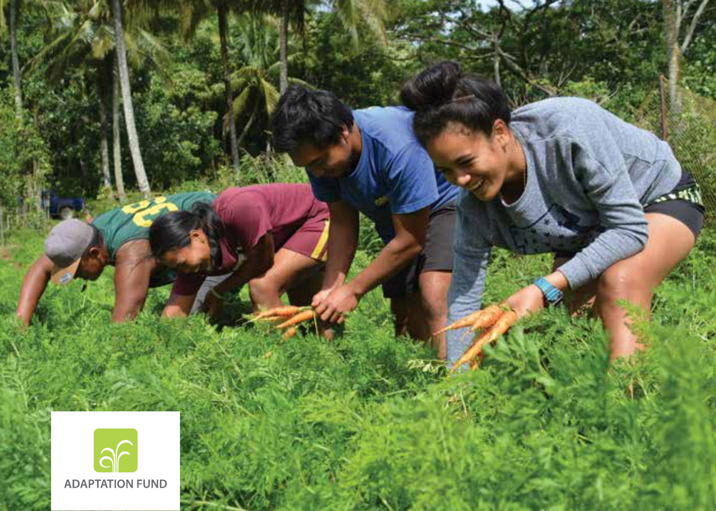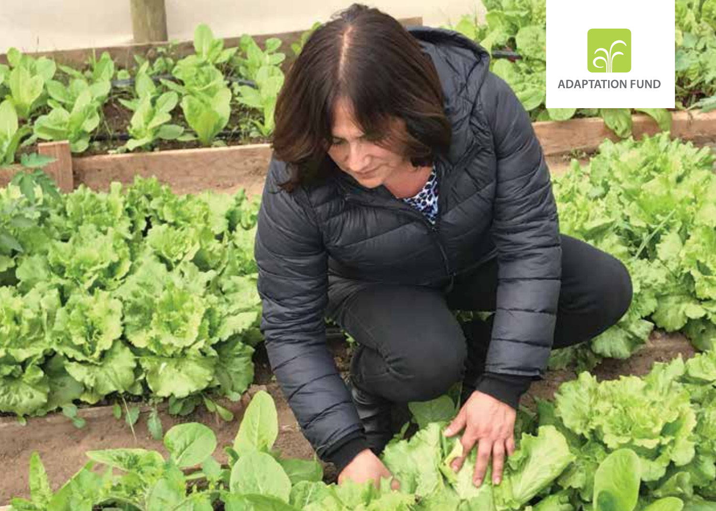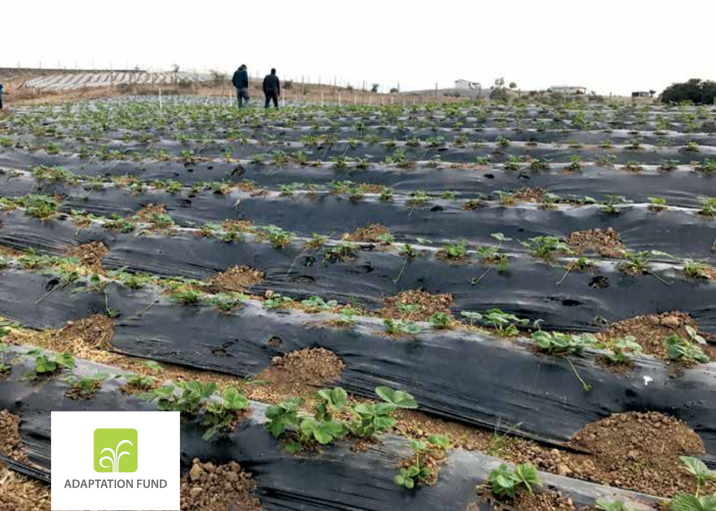